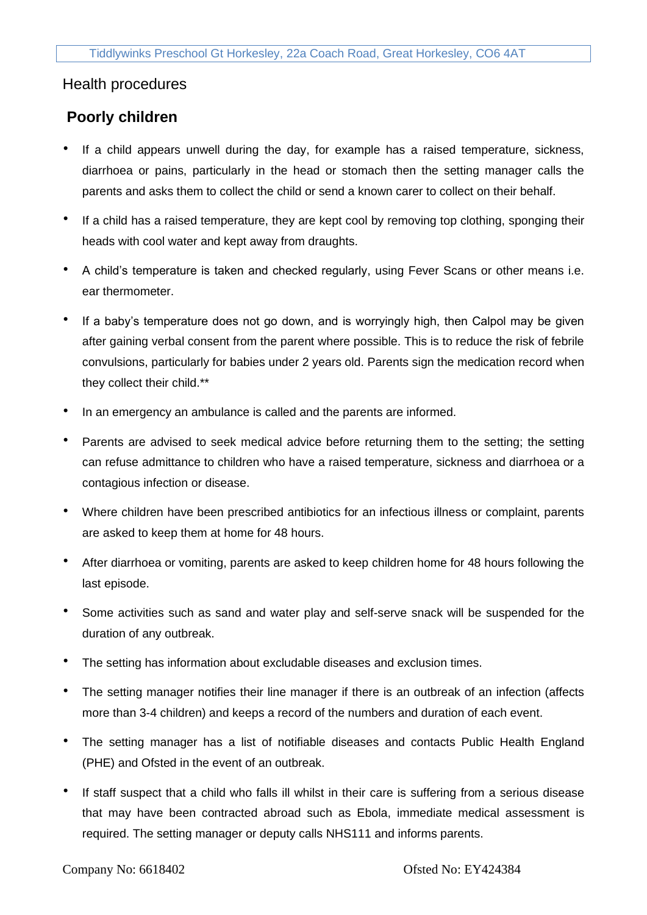# Health procedures

# **Poorly children**

- If a child appears unwell during the day, for example has a raised temperature, sickness, diarrhoea or pains, particularly in the head or stomach then the setting manager calls the parents and asks them to collect the child or send a known carer to collect on their behalf.
- If a child has a raised temperature, they are kept cool by removing top clothing, sponging their heads with cool water and kept away from draughts.
- A child's temperature is taken and checked regularly, using Fever Scans or other means i.e. ear thermometer.
- If a baby's temperature does not go down, and is worryingly high, then Calpol may be given after gaining verbal consent from the parent where possible. This is to reduce the risk of febrile convulsions, particularly for babies under 2 years old. Parents sign the medication record when they collect their child.\*\*
- In an emergency an ambulance is called and the parents are informed.
- Parents are advised to seek medical advice before returning them to the setting; the setting can refuse admittance to children who have a raised temperature, sickness and diarrhoea or a contagious infection or disease.
- Where children have been prescribed antibiotics for an infectious illness or complaint, parents are asked to keep them at home for 48 hours.
- After diarrhoea or vomiting, parents are asked to keep children home for 48 hours following the last episode.
- Some activities such as sand and water play and self-serve snack will be suspended for the duration of any outbreak.
- The setting has information about excludable diseases and exclusion times.
- The setting manager notifies their line manager if there is an outbreak of an infection (affects more than 3-4 children) and keeps a record of the numbers and duration of each event.
- The setting manager has a list of notifiable diseases and contacts Public Health England (PHE) and Ofsted in the event of an outbreak.
- If staff suspect that a child who falls ill whilst in their care is suffering from a serious disease that may have been contracted abroad such as Ebola, immediate medical assessment is required. The setting manager or deputy calls NHS111 and informs parents.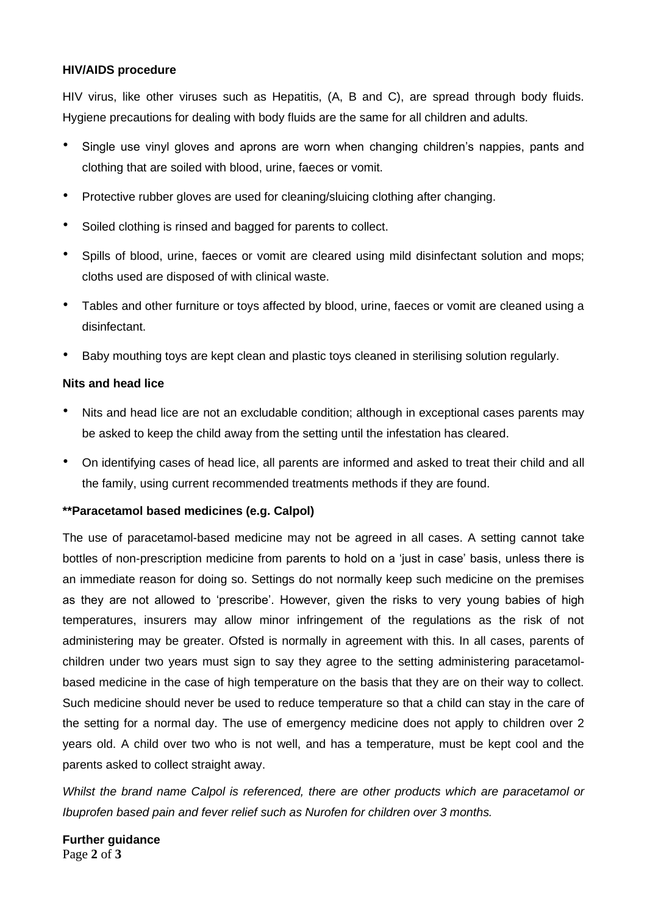## **HIV/AIDS procedure**

HIV virus, like other viruses such as Hepatitis, (A, B and C), are spread through body fluids. Hygiene precautions for dealing with body fluids are the same for all children and adults.

- Single use vinyl gloves and aprons are worn when changing children's nappies, pants and clothing that are soiled with blood, urine, faeces or vomit.
- Protective rubber gloves are used for cleaning/sluicing clothing after changing.
- Soiled clothing is rinsed and bagged for parents to collect.
- Spills of blood, urine, faeces or vomit are cleared using mild disinfectant solution and mops; cloths used are disposed of with clinical waste.
- Tables and other furniture or toys affected by blood, urine, faeces or vomit are cleaned using a disinfectant.
- Baby mouthing toys are kept clean and plastic toys cleaned in sterilising solution regularly.

### **Nits and head lice**

- Nits and head lice are not an excludable condition; although in exceptional cases parents may be asked to keep the child away from the setting until the infestation has cleared.
- On identifying cases of head lice, all parents are informed and asked to treat their child and all the family, using current recommended treatments methods if they are found.

### **\*\*Paracetamol based medicines (e.g. Calpol)**

The use of paracetamol-based medicine may not be agreed in all cases. A setting cannot take bottles of non-prescription medicine from parents to hold on a 'just in case' basis, unless there is an immediate reason for doing so. Settings do not normally keep such medicine on the premises as they are not allowed to 'prescribe'. However, given the risks to very young babies of high temperatures, insurers may allow minor infringement of the regulations as the risk of not administering may be greater. Ofsted is normally in agreement with this. In all cases, parents of children under two years must sign to say they agree to the setting administering paracetamolbased medicine in the case of high temperature on the basis that they are on their way to collect. Such medicine should never be used to reduce temperature so that a child can stay in the care of the setting for a normal day. The use of emergency medicine does not apply to children over 2 years old. A child over two who is not well, and has a temperature, must be kept cool and the parents asked to collect straight away.

*Whilst the brand name Calpol is referenced, there are other products which are paracetamol or Ibuprofen based pain and fever relief such as Nurofen for children over 3 months.* 

Page **2** of **3 Further guidance**